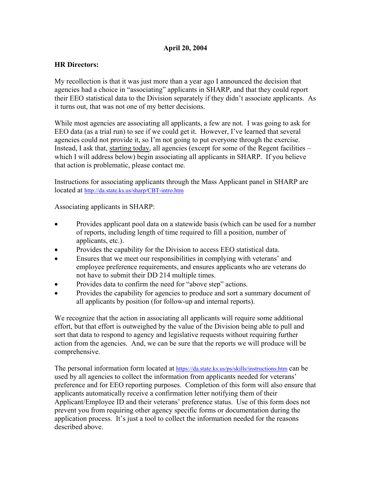## **April 20, 2004**

## **HR Directors:**

My recollection is that it was just more than a year ago I announced the decision that agencies had a choice in "associating" applicants in SHARP, and that they could report their EEO statistical data to the Division separately if they didn't associate applicants. As it turns out, that was not one of my better decisions.

While most agencies are associating all applicants, a few are not. I was going to ask for EEO data (as a trial run) to see if we could get it. However, I've learned that several agencies could not provide it, so I'm not going to put everyone through the exercise. Instead, I ask that, starting today, all agencies (except for some of the Regent facilities – which I will address below) begin associating all applicants in SHARP. If you believe that action is problematic, please contact me.

Instructions for associating applicants through the Mass Applicant panel in SHARP are located at http://da.state.ks.us/sharp/CBT-intro.htm

Associating applicants in SHARP:

- Provides applicant pool data on a statewide basis (which can be used for a number of reports, including length of time required to fill a position, number of applicants, etc.).
- Provides the capability for the Division to access EEO statistical data.
- Ensures that we meet our responsibilities in complying with veterans' and employee preference requirements, and ensures applicants who are veterans do not have to submit their DD 214 multiple times.
- Provides data to confirm the need for "above step" actions.
- Provides the capability for agencies to produce and sort a summary document of all applicants by position (for follow-up and internal reports).

We recognize that the action in associating all applicants will require some additional effort, but that effort is outweighed by the value of the Division being able to pull and sort that data to respond to agency and legislative requests without requiring further action from the agencies. And, we can be sure that the reports we will produce will be comprehensive.

The personal information form located at https://da.state.ks.us/ps/skills/instructions.htm can be used by all agencies to collect the information from applicants needed for veterans' preference and for EEO reporting purposes. Completion of this form will also ensure that applicants automatically receive a confirmation letter notifying them of their Applicant/Employee ID and their veterans' preference status. Use of this form does not prevent you from requiring other agency specific forms or documentation during the application process. It's just a tool to collect the information needed for the reasons described above.